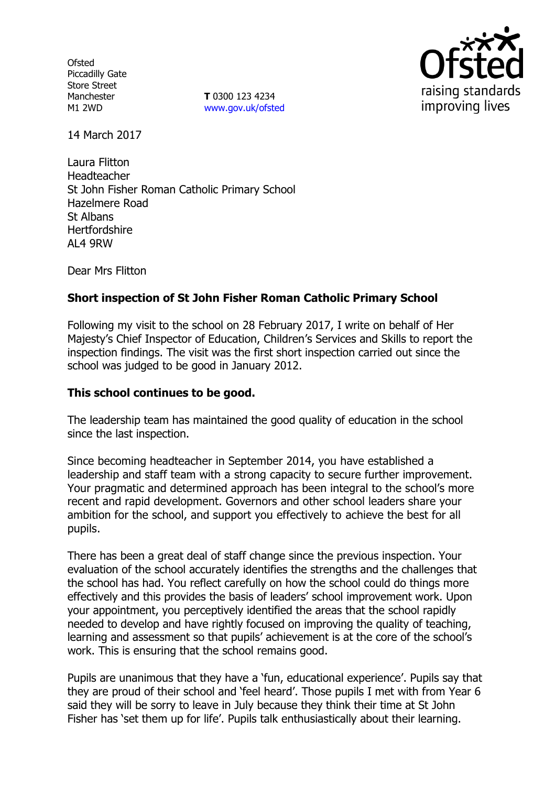**Ofsted** Piccadilly Gate Store Street Manchester M1 2WD

**T** 0300 123 4234 www.gov.uk/ofsted



14 March 2017

Laura Flitton Headteacher St John Fisher Roman Catholic Primary School Hazelmere Road St Albans Hertfordshire AL4 9RW

Dear Mrs Flitton

## **Short inspection of St John Fisher Roman Catholic Primary School**

Following my visit to the school on 28 February 2017, I write on behalf of Her Majesty's Chief Inspector of Education, Children's Services and Skills to report the inspection findings. The visit was the first short inspection carried out since the school was judged to be good in January 2012.

### **This school continues to be good.**

The leadership team has maintained the good quality of education in the school since the last inspection.

Since becoming headteacher in September 2014, you have established a leadership and staff team with a strong capacity to secure further improvement. Your pragmatic and determined approach has been integral to the school's more recent and rapid development. Governors and other school leaders share your ambition for the school, and support you effectively to achieve the best for all pupils.

There has been a great deal of staff change since the previous inspection. Your evaluation of the school accurately identifies the strengths and the challenges that the school has had. You reflect carefully on how the school could do things more effectively and this provides the basis of leaders' school improvement work. Upon your appointment, you perceptively identified the areas that the school rapidly needed to develop and have rightly focused on improving the quality of teaching, learning and assessment so that pupils' achievement is at the core of the school's work. This is ensuring that the school remains good.

Pupils are unanimous that they have a 'fun, educational experience'. Pupils say that they are proud of their school and 'feel heard'. Those pupils I met with from Year 6 said they will be sorry to leave in July because they think their time at St John Fisher has 'set them up for life'. Pupils talk enthusiastically about their learning.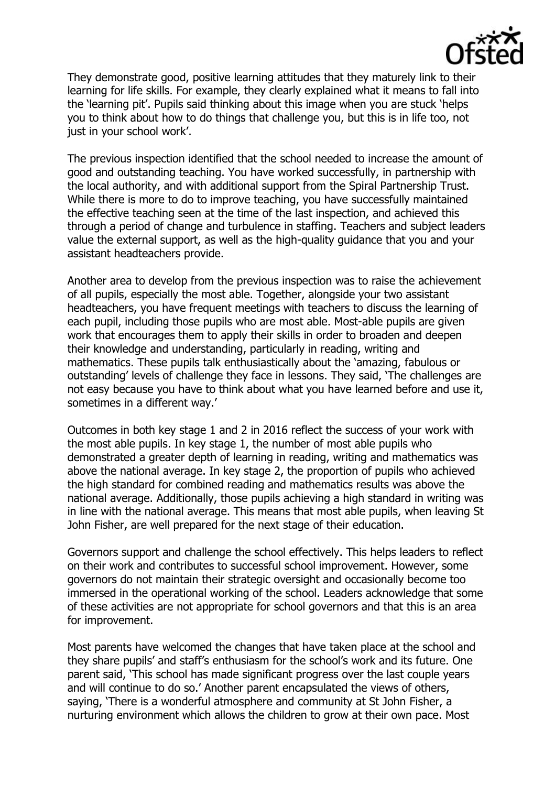

They demonstrate good, positive learning attitudes that they maturely link to their learning for life skills. For example, they clearly explained what it means to fall into the 'learning pit'. Pupils said thinking about this image when you are stuck 'helps you to think about how to do things that challenge you, but this is in life too, not just in your school work'.

The previous inspection identified that the school needed to increase the amount of good and outstanding teaching. You have worked successfully, in partnership with the local authority, and with additional support from the Spiral Partnership Trust. While there is more to do to improve teaching, you have successfully maintained the effective teaching seen at the time of the last inspection, and achieved this through a period of change and turbulence in staffing. Teachers and subject leaders value the external support, as well as the high-quality guidance that you and your assistant headteachers provide.

Another area to develop from the previous inspection was to raise the achievement of all pupils, especially the most able. Together, alongside your two assistant headteachers, you have frequent meetings with teachers to discuss the learning of each pupil, including those pupils who are most able. Most-able pupils are given work that encourages them to apply their skills in order to broaden and deepen their knowledge and understanding, particularly in reading, writing and mathematics. These pupils talk enthusiastically about the 'amazing, fabulous or outstanding' levels of challenge they face in lessons. They said, 'The challenges are not easy because you have to think about what you have learned before and use it, sometimes in a different way.'

Outcomes in both key stage 1 and 2 in 2016 reflect the success of your work with the most able pupils. In key stage 1, the number of most able pupils who demonstrated a greater depth of learning in reading, writing and mathematics was above the national average. In key stage 2, the proportion of pupils who achieved the high standard for combined reading and mathematics results was above the national average. Additionally, those pupils achieving a high standard in writing was in line with the national average. This means that most able pupils, when leaving St John Fisher, are well prepared for the next stage of their education.

Governors support and challenge the school effectively. This helps leaders to reflect on their work and contributes to successful school improvement. However, some governors do not maintain their strategic oversight and occasionally become too immersed in the operational working of the school. Leaders acknowledge that some of these activities are not appropriate for school governors and that this is an area for improvement.

Most parents have welcomed the changes that have taken place at the school and they share pupils' and staff's enthusiasm for the school's work and its future. One parent said, 'This school has made significant progress over the last couple years and will continue to do so.' Another parent encapsulated the views of others, saying, 'There is a wonderful atmosphere and community at St John Fisher, a nurturing environment which allows the children to grow at their own pace. Most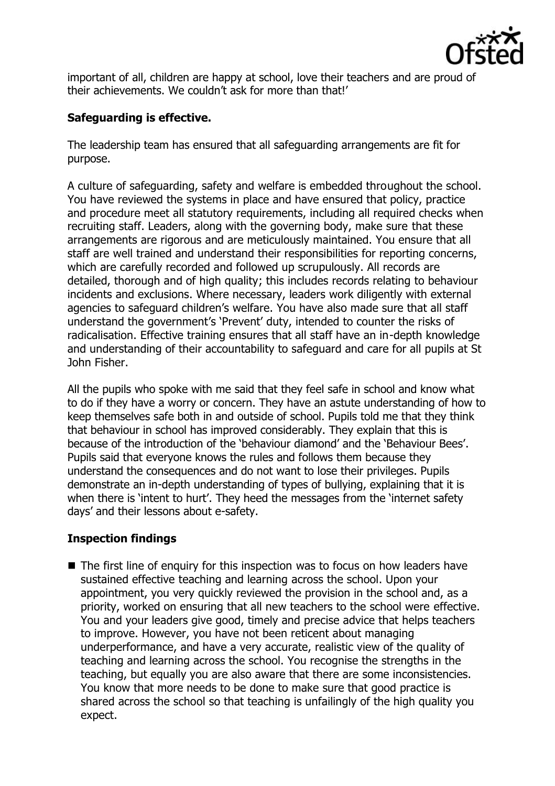

important of all, children are happy at school, love their teachers and are proud of their achievements. We couldn't ask for more than that!'

# **Safeguarding is effective.**

The leadership team has ensured that all safeguarding arrangements are fit for purpose.

A culture of safeguarding, safety and welfare is embedded throughout the school. You have reviewed the systems in place and have ensured that policy, practice and procedure meet all statutory requirements, including all required checks when recruiting staff. Leaders, along with the governing body, make sure that these arrangements are rigorous and are meticulously maintained. You ensure that all staff are well trained and understand their responsibilities for reporting concerns, which are carefully recorded and followed up scrupulously. All records are detailed, thorough and of high quality; this includes records relating to behaviour incidents and exclusions. Where necessary, leaders work diligently with external agencies to safeguard children's welfare. You have also made sure that all staff understand the government's 'Prevent' duty, intended to counter the risks of radicalisation. Effective training ensures that all staff have an in-depth knowledge and understanding of their accountability to safeguard and care for all pupils at St John Fisher.

All the pupils who spoke with me said that they feel safe in school and know what to do if they have a worry or concern. They have an astute understanding of how to keep themselves safe both in and outside of school. Pupils told me that they think that behaviour in school has improved considerably. They explain that this is because of the introduction of the 'behaviour diamond' and the 'Behaviour Bees'. Pupils said that everyone knows the rules and follows them because they understand the consequences and do not want to lose their privileges. Pupils demonstrate an in-depth understanding of types of bullying, explaining that it is when there is 'intent to hurt'. They heed the messages from the 'internet safety days' and their lessons about e-safety.

# **Inspection findings**

■ The first line of enquiry for this inspection was to focus on how leaders have sustained effective teaching and learning across the school. Upon your appointment, you very quickly reviewed the provision in the school and, as a priority, worked on ensuring that all new teachers to the school were effective. You and your leaders give good, timely and precise advice that helps teachers to improve. However, you have not been reticent about managing underperformance, and have a very accurate, realistic view of the quality of teaching and learning across the school. You recognise the strengths in the teaching, but equally you are also aware that there are some inconsistencies. You know that more needs to be done to make sure that good practice is shared across the school so that teaching is unfailingly of the high quality you expect.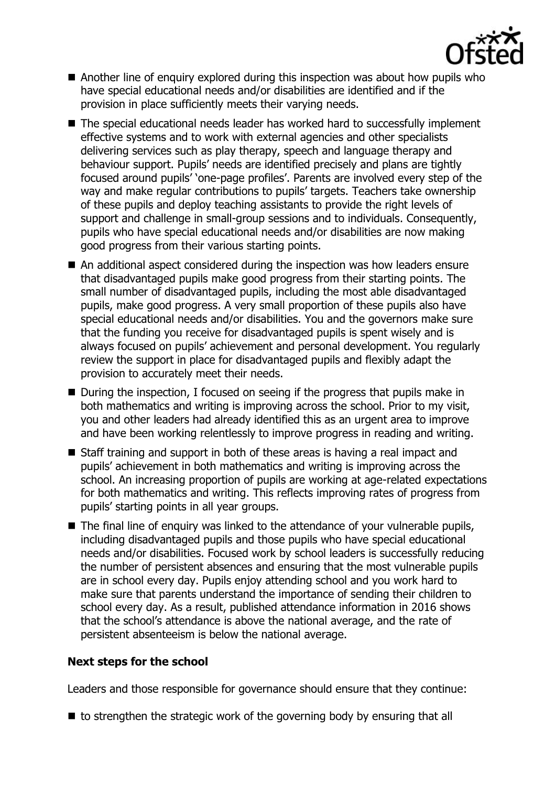

- Another line of enquiry explored during this inspection was about how pupils who have special educational needs and/or disabilities are identified and if the provision in place sufficiently meets their varying needs.
- The special educational needs leader has worked hard to successfully implement effective systems and to work with external agencies and other specialists delivering services such as play therapy, speech and language therapy and behaviour support. Pupils' needs are identified precisely and plans are tightly focused around pupils' 'one-page profiles'. Parents are involved every step of the way and make regular contributions to pupils' targets. Teachers take ownership of these pupils and deploy teaching assistants to provide the right levels of support and challenge in small-group sessions and to individuals. Consequently, pupils who have special educational needs and/or disabilities are now making good progress from their various starting points.
- An additional aspect considered during the inspection was how leaders ensure that disadvantaged pupils make good progress from their starting points. The small number of disadvantaged pupils, including the most able disadvantaged pupils, make good progress. A very small proportion of these pupils also have special educational needs and/or disabilities. You and the governors make sure that the funding you receive for disadvantaged pupils is spent wisely and is always focused on pupils' achievement and personal development. You regularly review the support in place for disadvantaged pupils and flexibly adapt the provision to accurately meet their needs.
- During the inspection, I focused on seeing if the progress that pupils make in both mathematics and writing is improving across the school. Prior to my visit, you and other leaders had already identified this as an urgent area to improve and have been working relentlessly to improve progress in reading and writing.
- Staff training and support in both of these areas is having a real impact and pupils' achievement in both mathematics and writing is improving across the school. An increasing proportion of pupils are working at age-related expectations for both mathematics and writing. This reflects improving rates of progress from pupils' starting points in all year groups.
- The final line of enquiry was linked to the attendance of your vulnerable pupils, including disadvantaged pupils and those pupils who have special educational needs and/or disabilities. Focused work by school leaders is successfully reducing the number of persistent absences and ensuring that the most vulnerable pupils are in school every day. Pupils enjoy attending school and you work hard to make sure that parents understand the importance of sending their children to school every day. As a result, published attendance information in 2016 shows that the school's attendance is above the national average, and the rate of persistent absenteeism is below the national average.

#### **Next steps for the school**

Leaders and those responsible for governance should ensure that they continue:

 $\blacksquare$  to strengthen the strategic work of the governing body by ensuring that all